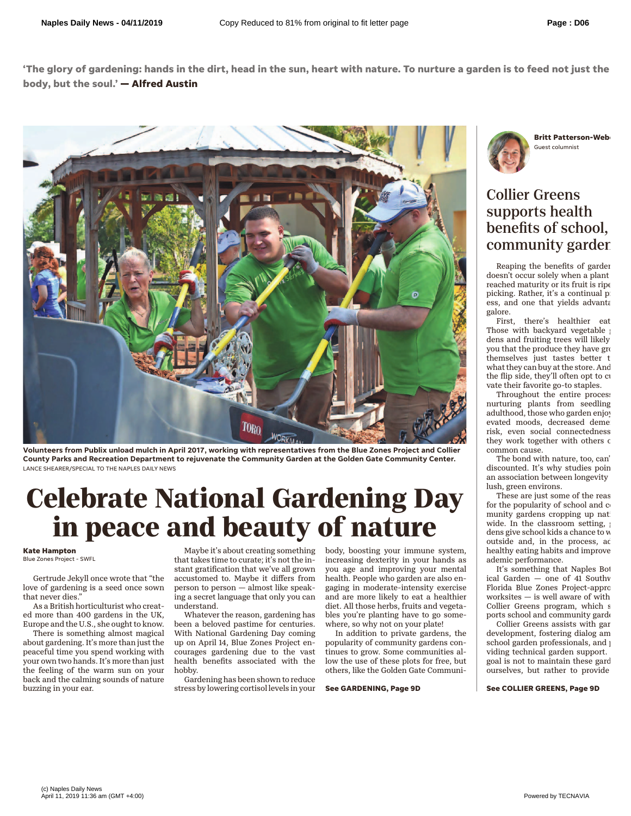**'The glory of gardening: hands in the dirt, head in the sun, heart with nature. To nurture a garden is to feed not just the body, but the soul.' — Alfred Austin**



**Volunteers from Publix unload mulch in April 2017, working with representatives from the Blue Zones Project and Collier County Parks and Recreation Department to rejuvenate the Community Garden at the Golden Gate Community Center.** LANCE SHEARER/SPECIAL TO THE NAPLES DAILY NEWS

## **Celebrate National Gardening Day in peace and beauty of nature**

## **Kate Hampton** Blue Zones Project - SWFL

Gertrude Jekyll once wrote that "the love of gardening is a seed once sown that never dies."

As a British horticulturist who created more than 400 gardens in the UK, Europe and the U.S., she ought to know.

There is something almost magical about gardening. It's more than just the peaceful time you spend working with your own two hands. It's more than just the feeling of the warm sun on your back and the calming sounds of nature buzzing in your ear.

Maybe it's about creating something that takes time to curate; it's not the instant gratification that we've all grown accustomed to. Maybe it differs from person to person — almost like speaking a secret language that only you can understand.

Whatever the reason, gardening has been a beloved pastime for centuries. With National Gardening Day coming up on April 14, Blue Zones Project encourages gardening due to the vast health benefits associated with the hobby.

Gardening has been shown to reduce stress by lowering cortisol levels in your

body, boosting your immune system, increasing dexterity in your hands as you age and improving your mental health. People who garden are also engaging in moderate-intensity exercise and are more likely to eat a healthier diet. All those herbs, fruits and vegetables you're planting have to go somewhere, so why not on your plate!

In addition to private gardens, the popularity of community gardens continues to grow. Some communities allow the use of these plots for free, but others, like the Golden Gate Communi-

**See GARDENING, Page 9D**



## Collier Greens supports health benefits of school, community garder

Reaping the benefits of garden doesn't occur solely when a plant reached maturity or its fruit is ripe picking. Rather, it's a continual proess, and one that yields advantages. galore.

First, there's healthier eat Those with backyard vegetable dens and fruiting trees will likely you that the produce they have grow themselves just tastes better t what they can buy at the store. And the flip side, they'll often opt to cultivate their favorite go-to staples.

Throughout the entire process nurturing plants from seedling adulthood, those who garden enjoy evated moods, decreased deme risk, even social connectedness they work together with others o common cause.

The bond with nature, too, can' discounted. It's why studies poin an association between longevity lush, green environs.

These are just some of the reas for the popularity of school and c munity gardens cropping up nat wide. In the classroom setting, dens give school kids a chance to w outside and, in the process, ac healthy eating habits and improve ademic performance.

It's something that Naples Bot ical Garden  $-$  one of 41 Southv Florida Blue Zones Project-appro worksites  $-$  is well aware of with Collier Greens program, which s ports school and community garden

Collier Greens assists with gar development, fostering dialog am school garden professionals, and  $p_1$ viding technical garden support. goal is not to maintain these gard ourselves, but rather to provide

**See COLLIER GREENS, Page 9D**